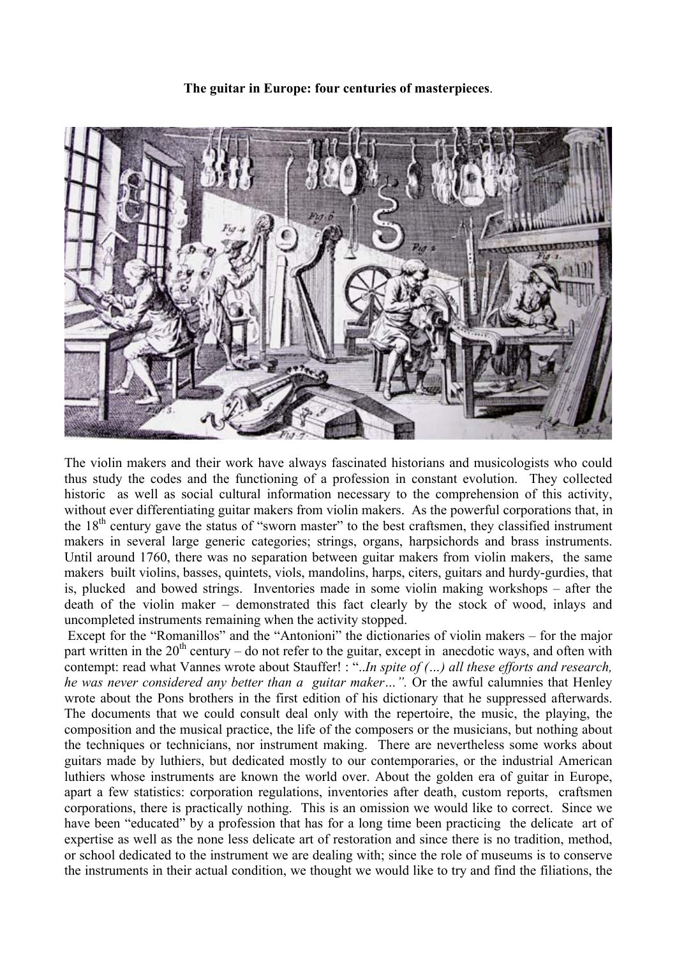**The guitar in Europe: four centuries of masterpieces**.



The violin makers and their work have always fascinated historians and musicologists who could thus study the codes and the functioning of a profession in constant evolution. They collected historic as well as social cultural information necessary to the comprehension of this activity, without ever differentiating guitar makers from violin makers. As the powerful corporations that, in the  $18<sup>th</sup>$  century gave the status of "sworn master" to the best craftsmen, they classified instrument makers in several large generic categories; strings, organs, harpsichords and brass instruments. Until around 1760, there was no separation between guitar makers from violin makers, the same makers built violins, basses, quintets, viols, mandolins, harps, citers, guitars and hurdy-gurdies, that is, plucked and bowed strings. Inventories made in some violin making workshops – after the death of the violin maker – demonstrated this fact clearly by the stock of wood, inlays and uncompleted instruments remaining when the activity stopped.

 Except for the "Romanillos" and the "Antonioni" the dictionaries of violin makers – for the major part written in the  $20<sup>th</sup>$  century – do not refer to the guitar, except in anecdotic ways, and often with contempt: read what Vannes wrote about Stauffer! : "..*In spite of (…) all these efforts and research, he was never considered any better than a guitar maker...".* Or the awful calumnies that Henley wrote about the Pons brothers in the first edition of his dictionary that he suppressed afterwards. The documents that we could consult deal only with the repertoire, the music, the playing, the composition and the musical practice, the life of the composers or the musicians, but nothing about the techniques or technicians, nor instrument making. There are nevertheless some works about guitars made by luthiers, but dedicated mostly to our contemporaries, or the industrial American luthiers whose instruments are known the world over. About the golden era of guitar in Europe, apart a few statistics: corporation regulations, inventories after death, custom reports, craftsmen corporations, there is practically nothing. This is an omission we would like to correct. Since we have been "educated" by a profession that has for a long time been practicing the delicate art of expertise as well as the none less delicate art of restoration and since there is no tradition, method, or school dedicated to the instrument we are dealing with; since the role of museums is to conserve the instruments in their actual condition, we thought we would like to try and find the filiations, the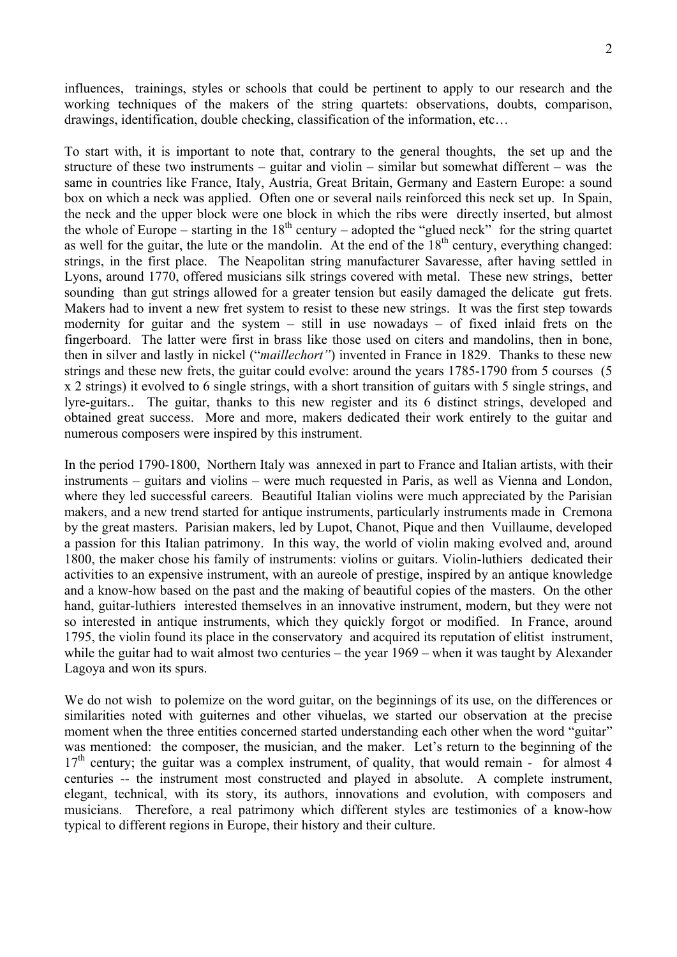influences, trainings, styles or schools that could be pertinent to apply to our research and the working techniques of the makers of the string quartets: observations, doubts, comparison, drawings, identification, double checking, classification of the information, etc…

To start with, it is important to note that, contrary to the general thoughts, the set up and the structure of these two instruments – guitar and violin – similar but somewhat different – was the same in countries like France, Italy, Austria, Great Britain, Germany and Eastern Europe: a sound box on which a neck was applied. Often one or several nails reinforced this neck set up. In Spain, the neck and the upper block were one block in which the ribs were directly inserted, but almost the whole of Europe – starting in the  $18<sup>th</sup>$  century – adopted the "glued neck" for the string quartet as well for the guitar, the lute or the mandolin. At the end of the  $18<sup>th</sup>$  century, everything changed: strings, in the first place. The Neapolitan string manufacturer Savaresse, after having settled in Lyons, around 1770, offered musicians silk strings covered with metal. These new strings, better sounding than gut strings allowed for a greater tension but easily damaged the delicate gut frets. Makers had to invent a new fret system to resist to these new strings. It was the first step towards modernity for guitar and the system – still in use nowadays – of fixed inlaid frets on the fingerboard. The latter were first in brass like those used on citers and mandolins, then in bone, then in silver and lastly in nickel ("*maillechort"*) invented in France in 1829. Thanks to these new strings and these new frets, the guitar could evolve: around the years 1785-1790 from 5 courses (5 x 2 strings) it evolved to 6 single strings, with a short transition of guitars with 5 single strings, and lyre-guitars.. The guitar, thanks to this new register and its 6 distinct strings, developed and obtained great success. More and more, makers dedicated their work entirely to the guitar and numerous composers were inspired by this instrument.

In the period 1790-1800, Northern Italy was annexed in part to France and Italian artists, with their instruments – guitars and violins – were much requested in Paris, as well as Vienna and London, where they led successful careers. Beautiful Italian violins were much appreciated by the Parisian makers, and a new trend started for antique instruments, particularly instruments made in Cremona by the great masters. Parisian makers, led by Lupot, Chanot, Pique and then Vuillaume, developed a passion for this Italian patrimony. In this way, the world of violin making evolved and, around 1800, the maker chose his family of instruments: violins or guitars. Violin-luthiers dedicated their activities to an expensive instrument, with an aureole of prestige, inspired by an antique knowledge and a know-how based on the past and the making of beautiful copies of the masters. On the other hand, guitar-luthiers interested themselves in an innovative instrument, modern, but they were not so interested in antique instruments, which they quickly forgot or modified. In France, around 1795, the violin found its place in the conservatory and acquired its reputation of elitist instrument, while the guitar had to wait almost two centuries – the year 1969 – when it was taught by Alexander Lagoya and won its spurs.

We do not wish to polemize on the word guitar, on the beginnings of its use, on the differences or similarities noted with guiternes and other vihuelas, we started our observation at the precise moment when the three entities concerned started understanding each other when the word "guitar" was mentioned: the composer, the musician, and the maker. Let's return to the beginning of the  $17<sup>th</sup>$  century; the guitar was a complex instrument, of quality, that would remain - for almost 4 centuries -- the instrument most constructed and played in absolute. A complete instrument, elegant, technical, with its story, its authors, innovations and evolution, with composers and musicians. Therefore, a real patrimony which different styles are testimonies of a know-how typical to different regions in Europe, their history and their culture.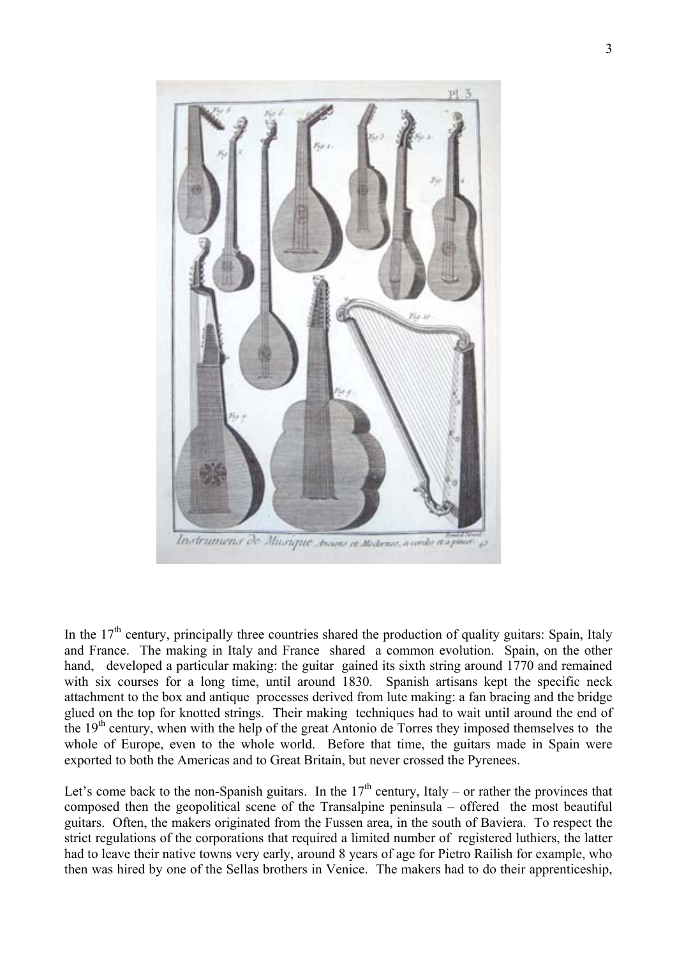

In the  $17<sup>th</sup>$  century, principally three countries shared the production of quality guitars: Spain, Italy and France. The making in Italy and France shared a common evolution. Spain, on the other hand, developed a particular making: the guitar gained its sixth string around 1770 and remained with six courses for a long time, until around 1830. Spanish artisans kept the specific neck attachment to the box and antique processes derived from lute making: a fan bracing and the bridge glued on the top for knotted strings. Their making techniques had to wait until around the end of the 19<sup>th</sup> century, when with the help of the great Antonio de Torres they imposed themselves to the whole of Europe, even to the whole world. Before that time, the guitars made in Spain were exported to both the Americas and to Great Britain, but never crossed the Pyrenees.

Let's come back to the non-Spanish guitars. In the  $17<sup>th</sup>$  century, Italy – or rather the provinces that composed then the geopolitical scene of the Transalpine peninsula – offered the most beautiful guitars. Often, the makers originated from the Fussen area, in the south of Baviera. To respect the strict regulations of the corporations that required a limited number of registered luthiers, the latter had to leave their native towns very early, around 8 years of age for Pietro Railish for example, who then was hired by one of the Sellas brothers in Venice. The makers had to do their apprenticeship,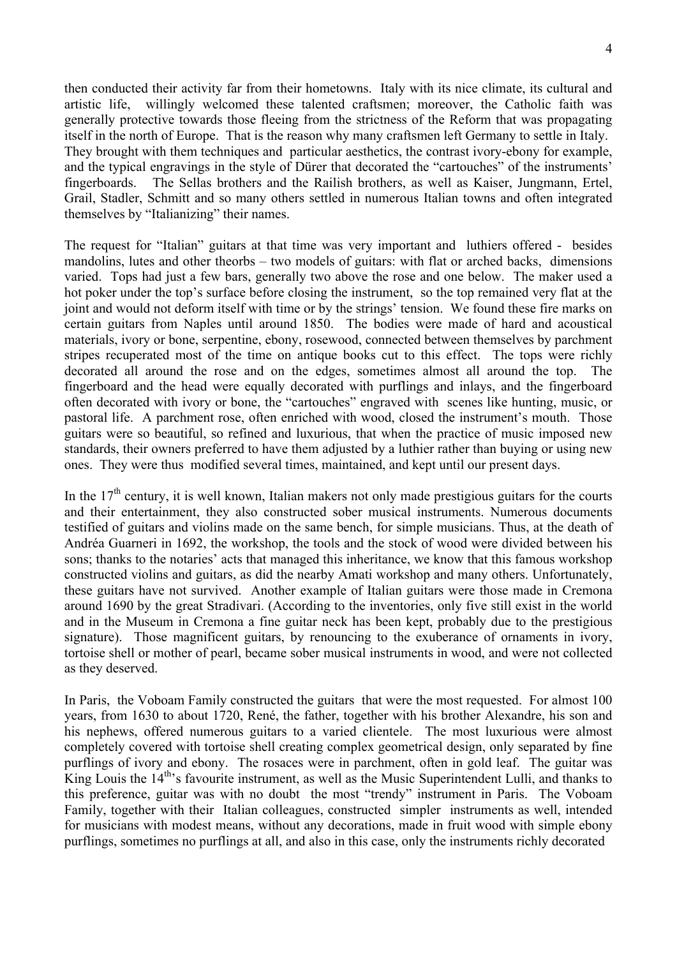then conducted their activity far from their hometowns. Italy with its nice climate, its cultural and artistic life, willingly welcomed these talented craftsmen; moreover, the Catholic faith was generally protective towards those fleeing from the strictness of the Reform that was propagating itself in the north of Europe. That is the reason why many craftsmen left Germany to settle in Italy. They brought with them techniques and particular aesthetics, the contrast ivory-ebony for example, and the typical engravings in the style of Dürer that decorated the "cartouches" of the instruments' fingerboards. The Sellas brothers and the Railish brothers, as well as Kaiser, Jungmann, Ertel, Grail, Stadler, Schmitt and so many others settled in numerous Italian towns and often integrated themselves by "Italianizing" their names.

The request for "Italian" guitars at that time was very important and luthiers offered - besides mandolins, lutes and other theorbs – two models of guitars: with flat or arched backs, dimensions varied. Tops had just a few bars, generally two above the rose and one below. The maker used a hot poker under the top's surface before closing the instrument, so the top remained very flat at the joint and would not deform itself with time or by the strings' tension. We found these fire marks on certain guitars from Naples until around 1850. The bodies were made of hard and acoustical materials, ivory or bone, serpentine, ebony, rosewood, connected between themselves by parchment stripes recuperated most of the time on antique books cut to this effect. The tops were richly decorated all around the rose and on the edges, sometimes almost all around the top. The fingerboard and the head were equally decorated with purflings and inlays, and the fingerboard often decorated with ivory or bone, the "cartouches" engraved with scenes like hunting, music, or pastoral life. A parchment rose, often enriched with wood, closed the instrument's mouth. Those guitars were so beautiful, so refined and luxurious, that when the practice of music imposed new standards, their owners preferred to have them adjusted by a luthier rather than buying or using new ones. They were thus modified several times, maintained, and kept until our present days.

In the  $17<sup>th</sup>$  century, it is well known, Italian makers not only made prestigious guitars for the courts and their entertainment, they also constructed sober musical instruments. Numerous documents testified of guitars and violins made on the same bench, for simple musicians. Thus, at the death of Andréa Guarneri in 1692, the workshop, the tools and the stock of wood were divided between his sons; thanks to the notaries' acts that managed this inheritance, we know that this famous workshop constructed violins and guitars, as did the nearby Amati workshop and many others. Unfortunately, these guitars have not survived. Another example of Italian guitars were those made in Cremona around 1690 by the great Stradivari. (According to the inventories, only five still exist in the world and in the Museum in Cremona a fine guitar neck has been kept, probably due to the prestigious signature). Those magnificent guitars, by renouncing to the exuberance of ornaments in ivory, tortoise shell or mother of pearl, became sober musical instruments in wood, and were not collected as they deserved.

In Paris, the Voboam Family constructed the guitars that were the most requested. For almost 100 years, from 1630 to about 1720, René, the father, together with his brother Alexandre, his son and his nephews, offered numerous guitars to a varied clientele. The most luxurious were almost completely covered with tortoise shell creating complex geometrical design, only separated by fine purflings of ivory and ebony. The rosaces were in parchment, often in gold leaf. The guitar was King Louis the 14<sup>th</sup>'s favourite instrument, as well as the Music Superintendent Lulli, and thanks to this preference, guitar was with no doubt the most "trendy" instrument in Paris. The Voboam Family, together with their Italian colleagues, constructed simpler instruments as well, intended for musicians with modest means, without any decorations, made in fruit wood with simple ebony purflings, sometimes no purflings at all, and also in this case, only the instruments richly decorated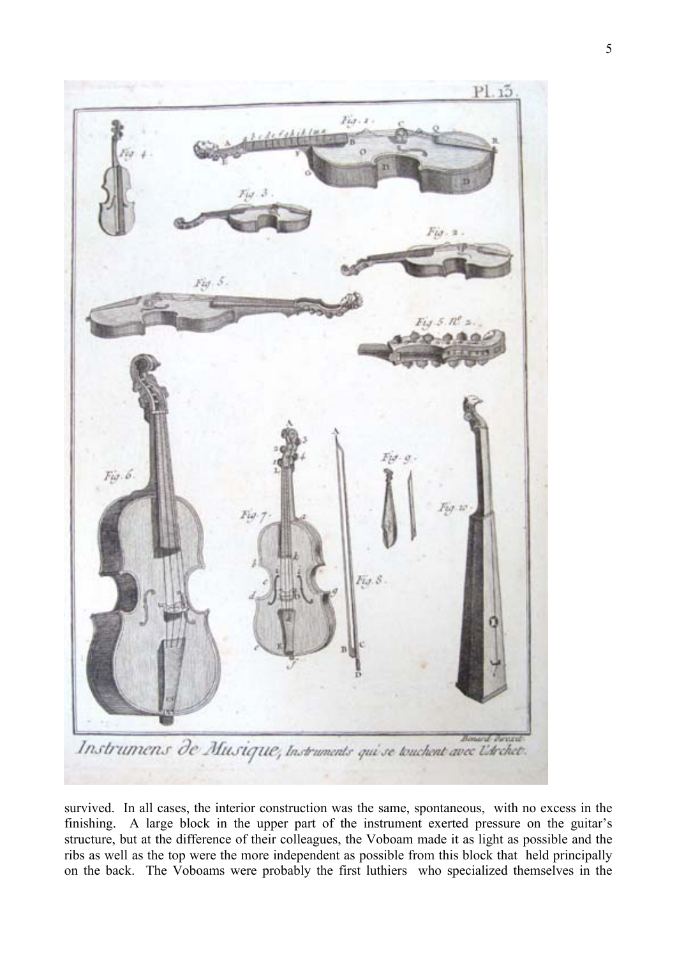

survived. In all cases, the interior construction was the same, spontaneous, with no excess in the finishing. A large block in the upper part of the instrument exerted pressure on the guitar's structure, but at the difference of their colleagues, the Voboam made it as light as possible and the ribs as well as the top were the more independent as possible from this block that held principally on the back. The Voboams were probably the first luthiers who specialized themselves in the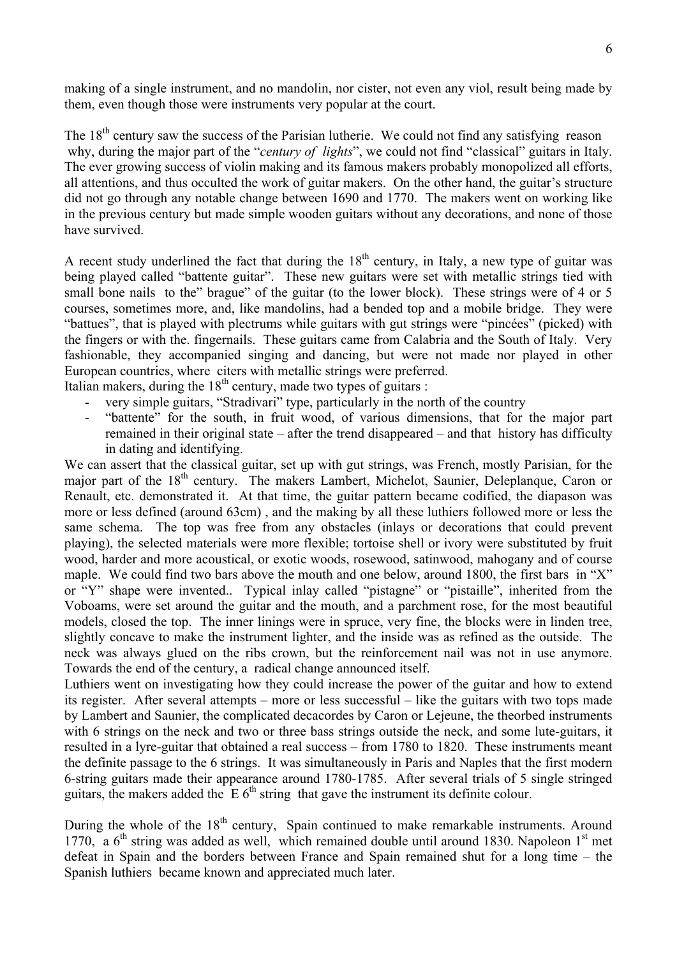making of a single instrument, and no mandolin, nor cister, not even any viol, result being made by them, even though those were instruments very popular at the court.

The  $18<sup>th</sup>$  century saw the success of the Parisian lutherie. We could not find any satisfying reason why, during the major part of the "*century of lights*", we could not find "classical" guitars in Italy. The ever growing success of violin making and its famous makers probably monopolized all efforts, all attentions, and thus occulted the work of guitar makers. On the other hand, the guitar's structure did not go through any notable change between 1690 and 1770. The makers went on working like in the previous century but made simple wooden guitars without any decorations, and none of those have survived.

A recent study underlined the fact that during the  $18<sup>th</sup>$  century, in Italy, a new type of guitar was being played called "battente guitar". These new guitars were set with metallic strings tied with small bone nails to the" brague" of the guitar (to the lower block). These strings were of 4 or 5 courses, sometimes more, and, like mandolins, had a bended top and a mobile bridge. They were "battues", that is played with plectrums while guitars with gut strings were "pincées" (picked) with the fingers or with the. fingernails. These guitars came from Calabria and the South of Italy. Very fashionable, they accompanied singing and dancing, but were not made nor played in other European countries, where citers with metallic strings were preferred.

Italian makers, during the  $18<sup>th</sup>$  century, made two types of guitars :

- very simple guitars, "Stradivari" type, particularly in the north of the country
- "battente" for the south, in fruit wood, of various dimensions, that for the major part remained in their original state – after the trend disappeared – and that history has difficulty in dating and identifying.

We can assert that the classical guitar, set up with gut strings, was French, mostly Parisian, for the major part of the 18<sup>th</sup> century. The makers Lambert, Michelot, Saunier, Deleplanque, Caron or Renault, etc. demonstrated it. At that time, the guitar pattern became codified, the diapason was more or less defined (around 63cm) , and the making by all these luthiers followed more or less the same schema. The top was free from any obstacles (inlays or decorations that could prevent playing), the selected materials were more flexible; tortoise shell or ivory were substituted by fruit wood, harder and more acoustical, or exotic woods, rosewood, satinwood, mahogany and of course maple. We could find two bars above the mouth and one below, around 1800, the first bars in "X" or "Y" shape were invented.. Typical inlay called "pistagne" or "pistaille", inherited from the Voboams, were set around the guitar and the mouth, and a parchment rose, for the most beautiful models, closed the top. The inner linings were in spruce, very fine, the blocks were in linden tree, slightly concave to make the instrument lighter, and the inside was as refined as the outside. The neck was always glued on the ribs crown, but the reinforcement nail was not in use anymore. Towards the end of the century, a radical change announced itself.

Luthiers went on investigating how they could increase the power of the guitar and how to extend its register. After several attempts – more or less successful – like the guitars with two tops made by Lambert and Saunier, the complicated decacordes by Caron or Lejeune, the theorbed instruments with 6 strings on the neck and two or three bass strings outside the neck, and some lute-guitars, it resulted in a lyre-guitar that obtained a real success – from 1780 to 1820. These instruments meant the definite passage to the 6 strings. It was simultaneously in Paris and Naples that the first modern 6-string guitars made their appearance around 1780-1785. After several trials of 5 single stringed guitars, the makers added the  $E 6<sup>th</sup>$  string that gave the instrument its definite colour.

During the whole of the 18<sup>th</sup> century, Spain continued to make remarkable instruments. Around 1770, a  $6<sup>th</sup>$  string was added as well, which remained double until around 1830. Napoleon 1<sup>st</sup> met defeat in Spain and the borders between France and Spain remained shut for a long time – the Spanish luthiers became known and appreciated much later.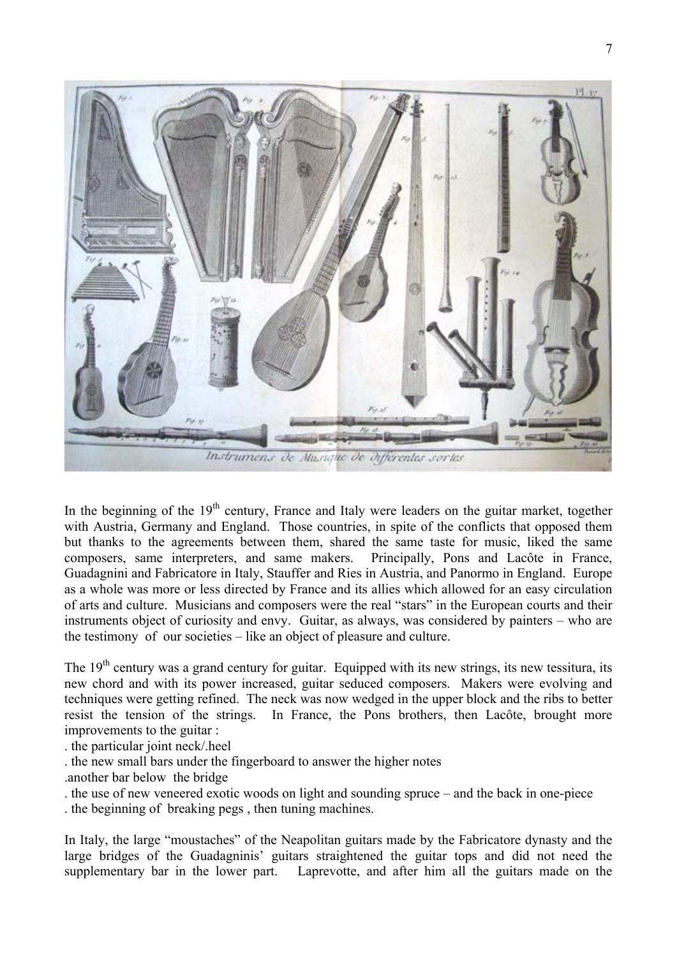

In the beginning of the  $19<sup>th</sup>$  century, France and Italy were leaders on the guitar market, together with Austria, Germany and England. Those countries, in spite of the conflicts that opposed them but thanks to the agreements between them, shared the same taste for music, liked the same composers, same interpreters, and same makers. Principally, Pons and Lacôte in France, Guadagnini and Fabricatore in Italy, Stauffer and Ries in Austria, and Panormo in England. Europe as a whole was more or less directed by France and its allies which allowed for an easy circulation of arts and culture. Musicians and composers were the real "stars" in the European courts and their instruments object of curiosity and envy. Guitar, as always, was considered by painters – who are the testimony of our societies – like an object of pleasure and culture.

The  $19<sup>th</sup>$  century was a grand century for guitar. Equipped with its new strings, its new tessitura, its new chord and with its power increased, guitar seduced composers. Makers were evolving and techniques were getting refined. The neck was now wedged in the upper block and the ribs to better resist the tension of the strings. In France, the Pons brothers, then Lacôte, brought more improvements to the guitar :

. the particular joint neck/.heel

- . the new small bars under the fingerboard to answer the higher notes
- .another bar below the bridge
- . the use of new veneered exotic woods on light and sounding spruce and the back in one-piece

. the beginning of breaking pegs , then tuning machines.

In Italy, the large "moustaches" of the Neapolitan guitars made by the Fabricatore dynasty and the large bridges of the Guadagninis' guitars straightened the guitar tops and did not need the supplementary bar in the lower part. Laprevotte, and after him all the guitars made on the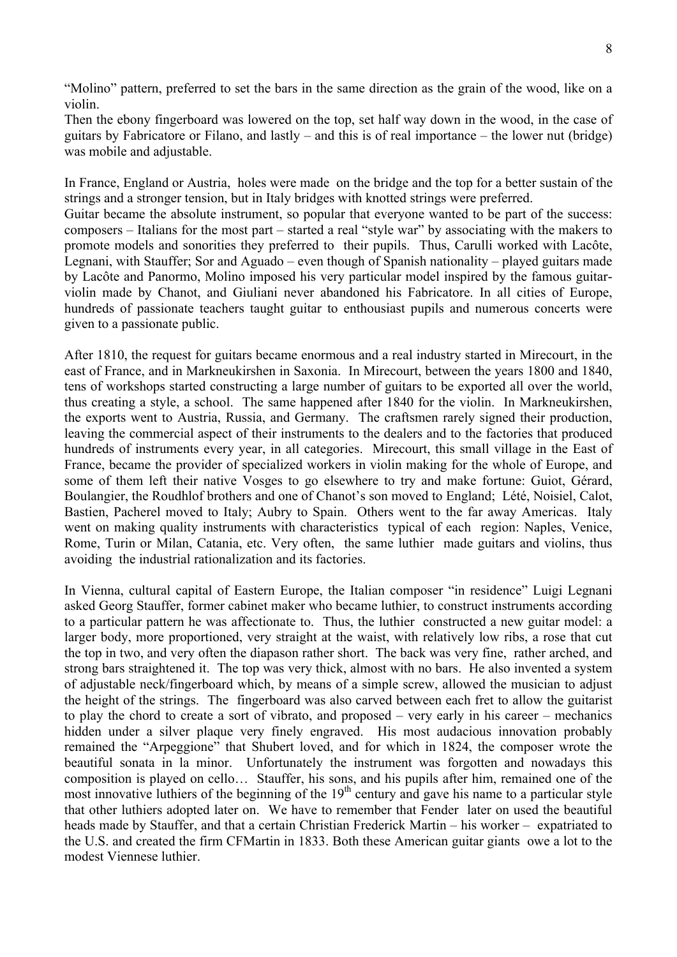"Molino" pattern, preferred to set the bars in the same direction as the grain of the wood, like on a violin.

Then the ebony fingerboard was lowered on the top, set half way down in the wood, in the case of guitars by Fabricatore or Filano, and lastly – and this is of real importance – the lower nut (bridge) was mobile and adjustable.

In France, England or Austria, holes were made on the bridge and the top for a better sustain of the strings and a stronger tension, but in Italy bridges with knotted strings were preferred.

Guitar became the absolute instrument, so popular that everyone wanted to be part of the success: composers – Italians for the most part – started a real "style war" by associating with the makers to promote models and sonorities they preferred to their pupils. Thus, Carulli worked with Lacôte, Legnani, with Stauffer; Sor and Aguado – even though of Spanish nationality – played guitars made by Lacôte and Panormo, Molino imposed his very particular model inspired by the famous guitarviolin made by Chanot, and Giuliani never abandoned his Fabricatore. In all cities of Europe, hundreds of passionate teachers taught guitar to enthousiast pupils and numerous concerts were given to a passionate public.

After 1810, the request for guitars became enormous and a real industry started in Mirecourt, in the east of France, and in Markneukirshen in Saxonia. In Mirecourt, between the years 1800 and 1840, tens of workshops started constructing a large number of guitars to be exported all over the world, thus creating a style, a school. The same happened after 1840 for the violin. In Markneukirshen, the exports went to Austria, Russia, and Germany. The craftsmen rarely signed their production, leaving the commercial aspect of their instruments to the dealers and to the factories that produced hundreds of instruments every year, in all categories. Mirecourt, this small village in the East of France, became the provider of specialized workers in violin making for the whole of Europe, and some of them left their native Vosges to go elsewhere to try and make fortune: Guiot, Gérard, Boulangier, the Roudhlof brothers and one of Chanot's son moved to England; Lété, Noisiel, Calot, Bastien, Pacherel moved to Italy; Aubry to Spain. Others went to the far away Americas. Italy went on making quality instruments with characteristics typical of each region: Naples, Venice, Rome, Turin or Milan, Catania, etc. Very often, the same luthier made guitars and violins, thus avoiding the industrial rationalization and its factories.

In Vienna, cultural capital of Eastern Europe, the Italian composer "in residence" Luigi Legnani asked Georg Stauffer, former cabinet maker who became luthier, to construct instruments according to a particular pattern he was affectionate to. Thus, the luthier constructed a new guitar model: a larger body, more proportioned, very straight at the waist, with relatively low ribs, a rose that cut the top in two, and very often the diapason rather short. The back was very fine, rather arched, and strong bars straightened it. The top was very thick, almost with no bars. He also invented a system of adjustable neck/fingerboard which, by means of a simple screw, allowed the musician to adjust the height of the strings. The fingerboard was also carved between each fret to allow the guitarist to play the chord to create a sort of vibrato, and proposed – very early in his career – mechanics hidden under a silver plaque very finely engraved. His most audacious innovation probably remained the "Arpeggione" that Shubert loved, and for which in 1824, the composer wrote the beautiful sonata in la minor. Unfortunately the instrument was forgotten and nowadays this composition is played on cello… Stauffer, his sons, and his pupils after him, remained one of the most innovative luthiers of the beginning of the 19<sup>th</sup> century and gave his name to a particular style that other luthiers adopted later on. We have to remember that Fender later on used the beautiful heads made by Stauffer, and that a certain Christian Frederick Martin – his worker – expatriated to the U.S. and created the firm CFMartin in 1833. Both these American guitar giants owe a lot to the modest Viennese luthier.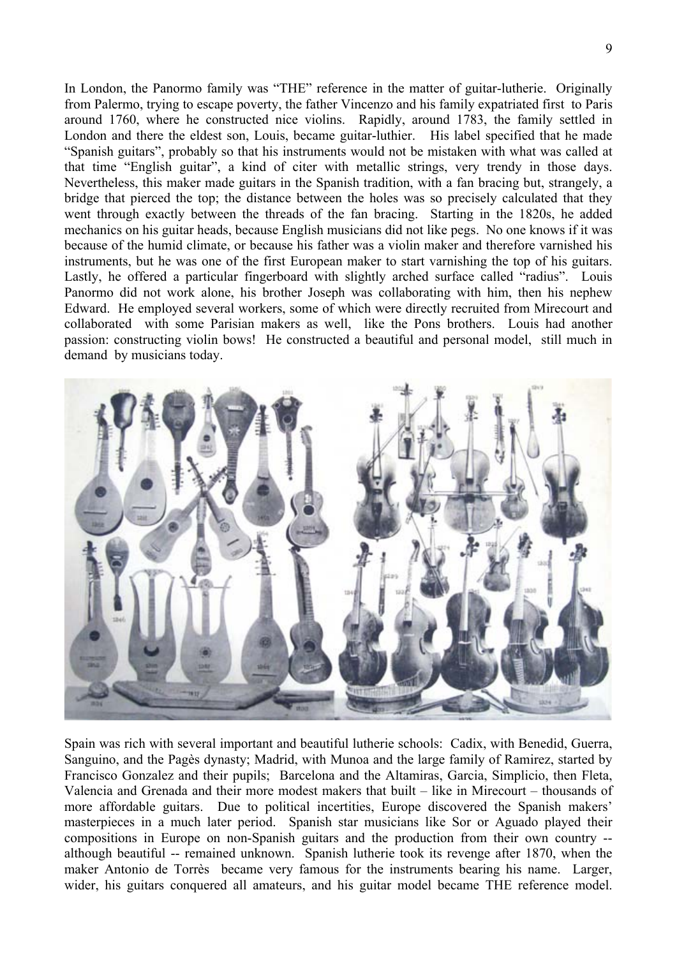In London, the Panormo family was "THE" reference in the matter of guitar-lutherie. Originally from Palermo, trying to escape poverty, the father Vincenzo and his family expatriated first to Paris around 1760, where he constructed nice violins. Rapidly, around 1783, the family settled in London and there the eldest son, Louis, became guitar-luthier. His label specified that he made "Spanish guitars", probably so that his instruments would not be mistaken with what was called at that time "English guitar", a kind of citer with metallic strings, very trendy in those days. Nevertheless, this maker made guitars in the Spanish tradition, with a fan bracing but, strangely, a bridge that pierced the top; the distance between the holes was so precisely calculated that they went through exactly between the threads of the fan bracing. Starting in the 1820s, he added mechanics on his guitar heads, because English musicians did not like pegs. No one knows if it was because of the humid climate, or because his father was a violin maker and therefore varnished his instruments, but he was one of the first European maker to start varnishing the top of his guitars. Lastly, he offered a particular fingerboard with slightly arched surface called "radius". Louis Panormo did not work alone, his brother Joseph was collaborating with him, then his nephew Edward. He employed several workers, some of which were directly recruited from Mirecourt and collaborated with some Parisian makers as well, like the Pons brothers. Louis had another passion: constructing violin bows! He constructed a beautiful and personal model, still much in demand by musicians today.



Spain was rich with several important and beautiful lutherie schools: Cadix, with Benedid, Guerra, Sanguino, and the Pagès dynasty; Madrid, with Munoa and the large family of Ramirez, started by Francisco Gonzalez and their pupils; Barcelona and the Altamiras, Garcia, Simplicio, then Fleta, Valencia and Grenada and their more modest makers that built – like in Mirecourt – thousands of more affordable guitars. Due to political incertities, Europe discovered the Spanish makers' masterpieces in a much later period. Spanish star musicians like Sor or Aguado played their compositions in Europe on non-Spanish guitars and the production from their own country - although beautiful -- remained unknown. Spanish lutherie took its revenge after 1870, when the maker Antonio de Torrès became very famous for the instruments bearing his name. Larger, wider, his guitars conquered all amateurs, and his guitar model became THE reference model.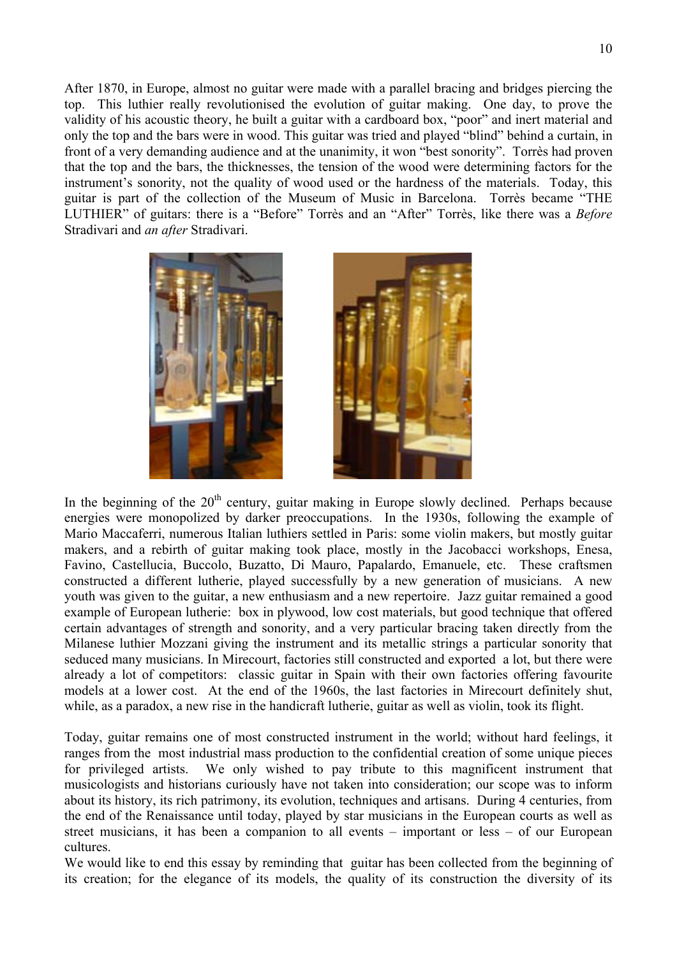After 1870, in Europe, almost no guitar were made with a parallel bracing and bridges piercing the top. This luthier really revolutionised the evolution of guitar making. One day, to prove the validity of his acoustic theory, he built a guitar with a cardboard box, "poor" and inert material and only the top and the bars were in wood. This guitar was tried and played "blind" behind a curtain, in front of a very demanding audience and at the unanimity, it won "best sonority". Torrès had proven that the top and the bars, the thicknesses, the tension of the wood were determining factors for the instrument's sonority, not the quality of wood used or the hardness of the materials. Today, this guitar is part of the collection of the Museum of Music in Barcelona. Torrès became "THE LUTHIER" of guitars: there is a "Before" Torrès and an "After" Torrès, like there was a *Before* Stradivari and *an after* Stradivari.





In the beginning of the  $20<sup>th</sup>$  century, guitar making in Europe slowly declined. Perhaps because energies were monopolized by darker preoccupations. In the 1930s, following the example of Mario Maccaferri, numerous Italian luthiers settled in Paris: some violin makers, but mostly guitar makers, and a rebirth of guitar making took place, mostly in the Jacobacci workshops, Enesa, Favino, Castellucia, Buccolo, Buzatto, Di Mauro, Papalardo, Emanuele, etc. These craftsmen constructed a different lutherie, played successfully by a new generation of musicians. A new youth was given to the guitar, a new enthusiasm and a new repertoire. Jazz guitar remained a good example of European lutherie: box in plywood, low cost materials, but good technique that offered certain advantages of strength and sonority, and a very particular bracing taken directly from the Milanese luthier Mozzani giving the instrument and its metallic strings a particular sonority that seduced many musicians. In Mirecourt, factories still constructed and exported a lot, but there were already a lot of competitors: classic guitar in Spain with their own factories offering favourite models at a lower cost. At the end of the 1960s, the last factories in Mirecourt definitely shut, while, as a paradox, a new rise in the handicraft lutherie, guitar as well as violin, took its flight.

Today, guitar remains one of most constructed instrument in the world; without hard feelings, it ranges from the most industrial mass production to the confidential creation of some unique pieces for privileged artists. We only wished to pay tribute to this magnificent instrument that musicologists and historians curiously have not taken into consideration; our scope was to inform about its history, its rich patrimony, its evolution, techniques and artisans. During 4 centuries, from the end of the Renaissance until today, played by star musicians in the European courts as well as street musicians, it has been a companion to all events – important or less – of our European cultures.

We would like to end this essay by reminding that guitar has been collected from the beginning of its creation; for the elegance of its models, the quality of its construction the diversity of its